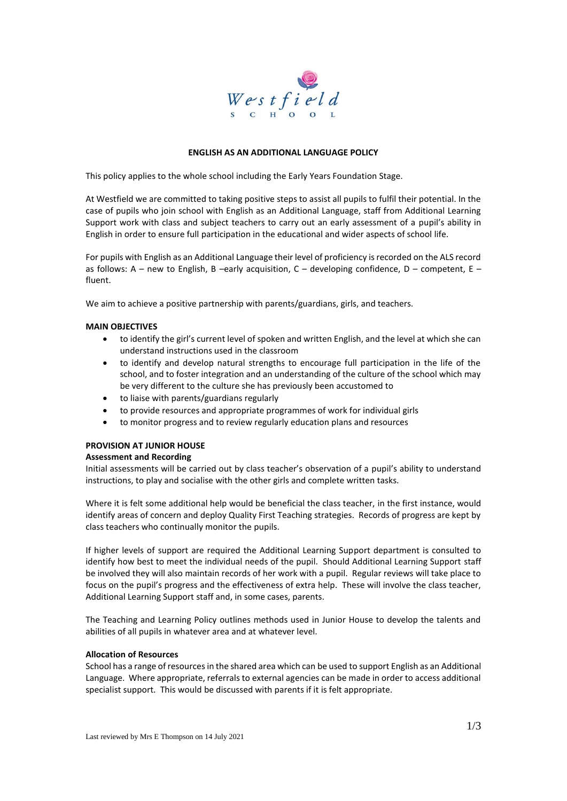

### **ENGLISH AS AN ADDITIONAL LANGUAGE POLICY**

This policy applies to the whole school including the Early Years Foundation Stage.

At Westfield we are committed to taking positive steps to assist all pupils to fulfil their potential. In the case of pupils who join school with English as an Additional Language, staff from Additional Learning Support work with class and subject teachers to carry out an early assessment of a pupil's ability in English in order to ensure full participation in the educational and wider aspects of school life.

For pupils with English as an Additional Language their level of proficiency is recorded on the ALS record as follows: A – new to English, B –early acquisition, C – developing confidence, D – competent, E – fluent.

We aim to achieve a positive partnership with parents/guardians, girls, and teachers.

### **MAIN OBJECTIVES**

- to identify the girl's current level of spoken and written English, and the level at which she can understand instructions used in the classroom
- to identify and develop natural strengths to encourage full participation in the life of the school, and to foster integration and an understanding of the culture of the school which may be very different to the culture she has previously been accustomed to
- to liaise with parents/guardians regularly
- to provide resources and appropriate programmes of work for individual girls
- to monitor progress and to review regularly education plans and resources

# **PROVISION AT JUNIOR HOUSE**

## **Assessment and Recording**

Initial assessments will be carried out by class teacher's observation of a pupil's ability to understand instructions, to play and socialise with the other girls and complete written tasks.

Where it is felt some additional help would be beneficial the class teacher, in the first instance, would identify areas of concern and deploy Quality First Teaching strategies. Records of progress are kept by class teachers who continually monitor the pupils.

If higher levels of support are required the Additional Learning Support department is consulted to identify how best to meet the individual needs of the pupil. Should Additional Learning Support staff be involved they will also maintain records of her work with a pupil. Regular reviews will take place to focus on the pupil's progress and the effectiveness of extra help. These will involve the class teacher, Additional Learning Support staff and, in some cases, parents.

The Teaching and Learning Policy outlines methods used in Junior House to develop the talents and abilities of all pupils in whatever area and at whatever level.

#### **Allocation of Resources**

School has a range of resources in the shared area which can be used to support English as an Additional Language. Where appropriate, referrals to external agencies can be made in order to access additional specialist support. This would be discussed with parents if it is felt appropriate.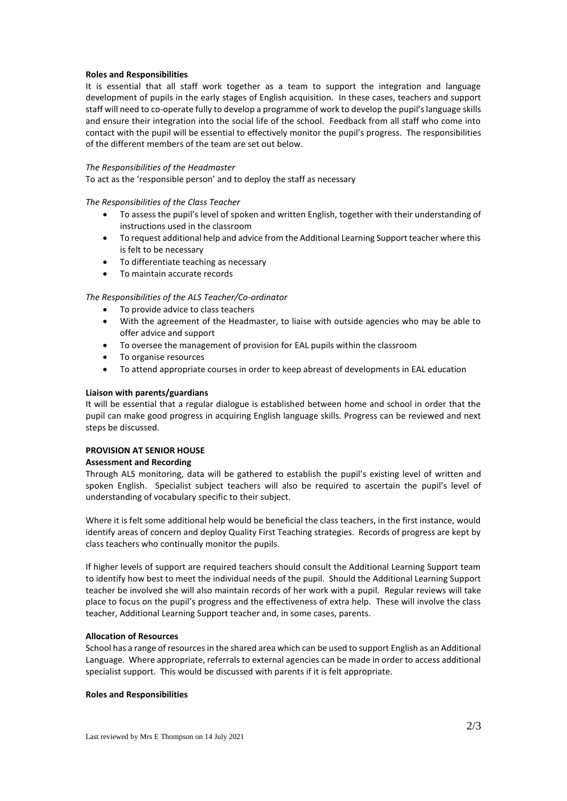### **Roles and Responsibilities**

It is essential that all staff work together as a team to support the integration and language development of pupils in the early stages of English acquisition. In these cases, teachers and support staff will need to co-operate fully to develop a programme of work to develop the pupil's language skills and ensure their integration into the social life of the school. Feedback from all staff who come into contact with the pupil will be essential to effectively monitor the pupil's progress. The responsibilities of the different members of the team are set out below.

#### *The Responsibilities of the Headmaster*

To act as the 'responsible person' and to deploy the staff as necessary

### *The Responsibilities of the Class Teacher*

- To assess the pupil's level of spoken and written English, together with their understanding of instructions used in the classroom
- To request additional help and advice from the Additional Learning Support teacher where this is felt to be necessary
- To differentiate teaching as necessary
- To maintain accurate records

### *The Responsibilities of the ALS Teacher/Co-ordinator*

- To provide advice to class teachers
- With the agreement of the Headmaster, to liaise with outside agencies who may be able to offer advice and support
- To oversee the management of provision for EAL pupils within the classroom
- To organise resources
- To attend appropriate courses in order to keep abreast of developments in EAL education

### **Liaison with parents/guardians**

It will be essential that a regular dialogue is established between home and school in order that the pupil can make good progress in acquiring English language skills. Progress can be reviewed and next steps be discussed.

# **PROVISION AT SENIOR HOUSE**

### **Assessment and Recording**

Through ALS monitoring, data will be gathered to establish the pupil's existing level of written and spoken English. Specialist subject teachers will also be required to ascertain the pupil's level of understanding of vocabulary specific to their subject.

Where it is felt some additional help would be beneficial the class teachers, in the first instance, would identify areas of concern and deploy Quality First Teaching strategies. Records of progress are kept by class teachers who continually monitor the pupils.

If higher levels of support are required teachers should consult the Additional Learning Support team to identify how best to meet the individual needs of the pupil. Should the Additional Learning Support teacher be involved she will also maintain records of her work with a pupil. Regular reviews will take place to focus on the pupil's progress and the effectiveness of extra help. These will involve the class teacher, Additional Learning Support teacher and, in some cases, parents.

#### **Allocation of Resources**

School has a range of resources in the shared area which can be used to support English as an Additional Language. Where appropriate, referrals to external agencies can be made in order to access additional specialist support. This would be discussed with parents if it is felt appropriate.

## **Roles and Responsibilities**